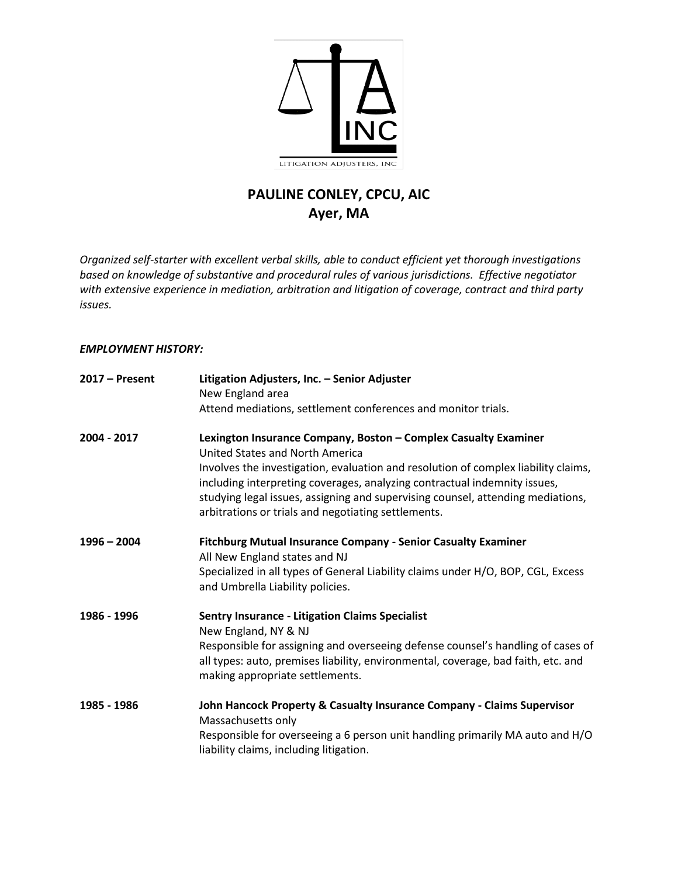

# **PAULINE CONLEY, CPCU, AIC Ayer, MA**

*Organized self-starter with excellent verbal skills, able to conduct efficient yet thorough investigations based on knowledge of substantive and procedural rules of various jurisdictions. Effective negotiator with extensive experience in mediation, arbitration and litigation of coverage, contract and third party issues.*

## *EMPLOYMENT HISTORY:*

| $2017 -$ Present | Litigation Adjusters, Inc. - Senior Adjuster<br>New England area<br>Attend mediations, settlement conferences and monitor trials.                                                                                   |
|------------------|---------------------------------------------------------------------------------------------------------------------------------------------------------------------------------------------------------------------|
|                  |                                                                                                                                                                                                                     |
| 2004 - 2017      | Lexington Insurance Company, Boston - Complex Casualty Examiner<br>United States and North America<br>Involves the investigation, evaluation and resolution of complex liability claims,                            |
|                  | including interpreting coverages, analyzing contractual indemnity issues,<br>studying legal issues, assigning and supervising counsel, attending mediations,<br>arbitrations or trials and negotiating settlements. |
| $1996 - 2004$    | Fitchburg Mutual Insurance Company - Senior Casualty Examiner                                                                                                                                                       |
|                  | All New England states and NJ<br>Specialized in all types of General Liability claims under H/O, BOP, CGL, Excess<br>and Umbrella Liability policies.                                                               |
| 1986 - 1996      | <b>Sentry Insurance - Litigation Claims Specialist</b><br>New England, NY & NJ                                                                                                                                      |
|                  | Responsible for assigning and overseeing defense counsel's handling of cases of<br>all types: auto, premises liability, environmental, coverage, bad faith, etc. and<br>making appropriate settlements.             |
| 1985 - 1986      | John Hancock Property & Casualty Insurance Company - Claims Supervisor<br>Massachusetts only                                                                                                                        |
|                  | Responsible for overseeing a 6 person unit handling primarily MA auto and H/O<br>liability claims, including litigation.                                                                                            |